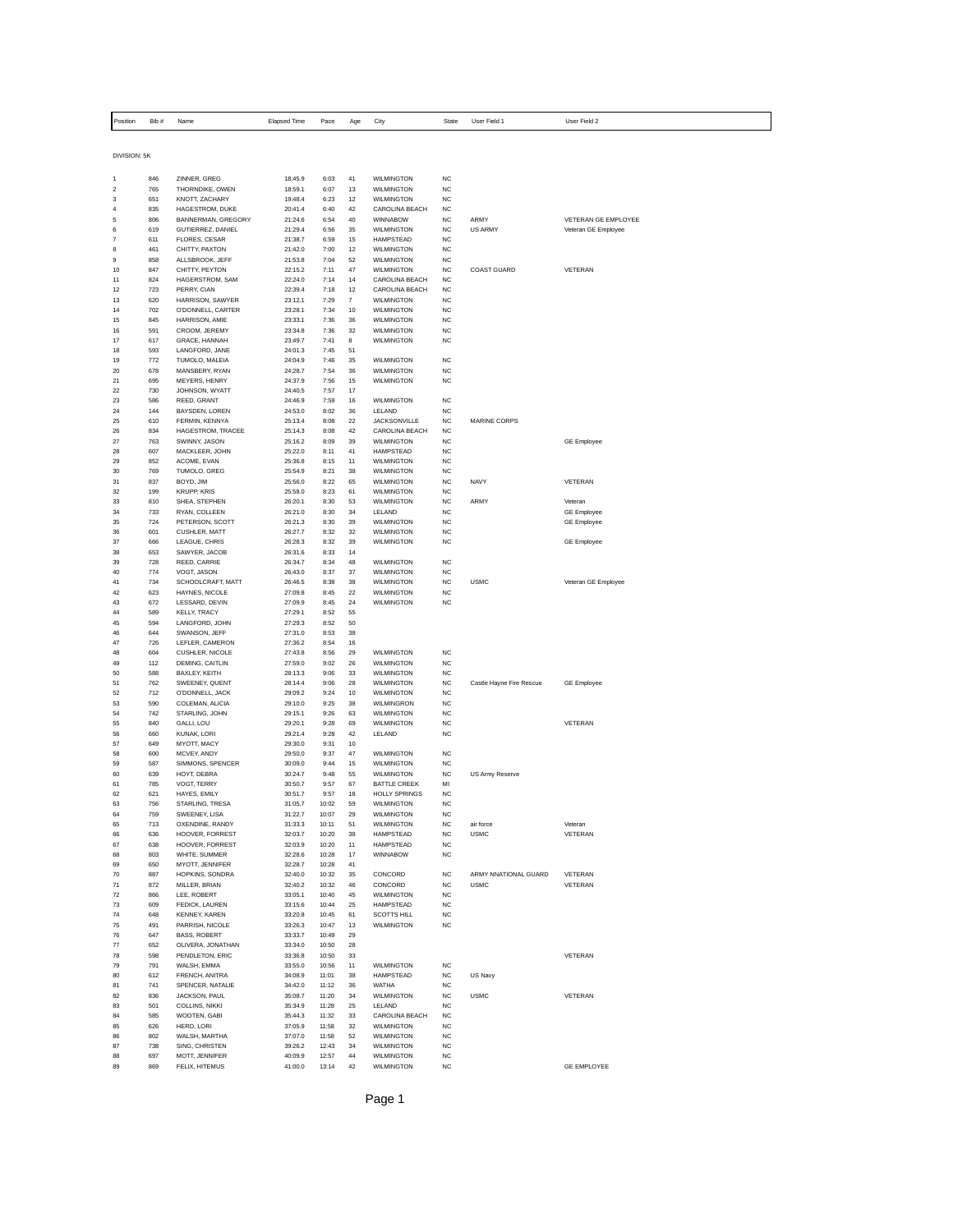| Position       | Bib#       | Name                                   | <b>Elapsed Time</b> | Pace           | Age      | City                                  | State                  | User Field 1             | User Field 2                  |
|----------------|------------|----------------------------------------|---------------------|----------------|----------|---------------------------------------|------------------------|--------------------------|-------------------------------|
|                |            |                                        |                     |                |          |                                       |                        |                          |                               |
| DIVISION: 5K   |            |                                        |                     |                |          |                                       |                        |                          |                               |
|                | 846        | ZINNER, GREG                           | 18:45.9             | 6:03           | 41       | WILMINGTON                            | <b>NC</b>              |                          |                               |
| $\mathbf 2$    | 765        | THORNDIKE, OWEN                        | 18:59.1             | 6:07           | 13       | WILMINGTON                            | <b>NC</b>              |                          |                               |
| 3              | 651        | KNOTT, ZACHARY                         | 19:48.4             | 6:23           | 12       | <b>WILMINGTON</b>                     | <b>NC</b>              |                          |                               |
| 4<br>5         | 835<br>806 | HAGESTROM, DUKE<br>BANNERMAN, GREGORY  | 20:41.4<br>21:24.6  | 6:40<br>6:54   | 42<br>40 | CAROLINA BEACH<br>WINNABOW            | <b>NC</b><br><b>NC</b> | ARMY                     | VETERAN GE EMPLOYEE           |
| 6              | 619        | GUTIERREZ, DANIEL                      | 21:29.4             | 6:56           | 35       | WILMINGTON                            | <b>NC</b>              | <b>US ARMY</b>           | Veteran GE Employee           |
| $\overline{7}$ | 611        | FLORES, CESAR                          | 21:38.7             | 6:59           | 15       | <b>HAMPSTEAD</b>                      | <b>NC</b>              |                          |                               |
| 8              | 461        | CHITTY, PAXTON                         | 21:42.0             | 7:00           | 12       | WILMINGTON                            | <b>NC</b>              |                          |                               |
| 9              | 858        | ALLSBROOK, JEFF                        | 21:53.8             | 7:04           | 52       | <b>WILMINGTON</b>                     | <b>NC</b>              |                          |                               |
| 10             | 847        | CHITTY, PEYTON                         | 22:15.2             | 7:11           | 47       | WILMINGTON                            | <b>NC</b>              | <b>COAST GUARD</b>       | VETERAN                       |
| 11<br>12       | 824<br>723 | HAGERSTROM, SAM<br>PERRY, CIAN         | 22:24.0<br>22:39.4  | 7:14<br>7:18   | 14<br>12 | CAROLINA BEACH<br>CAROLINA BEACH      | <b>NC</b><br>NC        |                          |                               |
| 13             | 620        | HARRISON, SAWYER                       | 23:12.1             | 7:29           | 7        | <b>WILMINGTON</b>                     | <b>NC</b>              |                          |                               |
| 14             | 702        | O'DONNELL, CARTER                      | 23:28.1             | 7:34           | 10       | WILMINGTON                            | <b>NC</b>              |                          |                               |
| 15             | 845        | HARRISON, AMIE                         | 23:33.1             | 7:36           | 36       | <b>WILMINGTON</b>                     | NC                     |                          |                               |
| 16             | 591        | CROOM, JEREMY                          | 23:34.8             | 7:36           | 32       | <b>WILMINGTON</b>                     | <b>NC</b>              |                          |                               |
| 17             | 617        | GRACE, HANNAH                          | 23:49.7             | 7:41           | 8        | WILMINGTON                            | <b>NC</b>              |                          |                               |
| 18<br>19       | 593<br>772 | LANGFORD, JANE                         | 24:01.3             | 7:45<br>7:46   | 51<br>35 | WILMINGTON                            | <b>NC</b>              |                          |                               |
| 20             | 678        | TUMOLO, MALEIA<br>MANSBERY, RYAN       | 24:04.9<br>24:28.7  | 7:54           | 36       | WILMINGTON                            | <b>NC</b>              |                          |                               |
| 21             | 695        | MEYERS, HENRY                          | 24:37.9             | 7:56           | 15       | <b>WILMINGTON</b>                     | <b>NC</b>              |                          |                               |
| 22             | 730        | JOHNSON, WYATT                         | 24:40.5             | 7:57           | 17       |                                       |                        |                          |                               |
| 23             | 586        | REED, GRANT                            | 24:46.9             | 7:59           | 16       | WILMINGTON                            | <b>NC</b>              |                          |                               |
| 24             | 144        | <b>BAYSDEN, LOREN</b>                  | 24:53.0             | 8:02           | 36       | <b>IFIAND</b>                         | NC                     |                          |                               |
| 25<br>26       | 610<br>834 | FERMIN, KENNYA<br>HAGESTROM, TRACEE    | 25:13.4<br>25:14.3  | 8:08<br>8:08   | 22<br>42 | <b>JACKSONVILLE</b><br>CAROLINA BEACH | <b>NC</b><br><b>NC</b> | MARINE CORPS             |                               |
| 27             | 763        | SWINNY, JASON                          | 25:16.2             | 8:09           | 39       | WILMINGTON                            | <b>NC</b>              |                          | <b>GE Employee</b>            |
| 28             | 607        | MACKLEER, JOHN                         | 25:22.0             | 8:11           | 41       | HAMPSTEAD                             | <b>NC</b>              |                          |                               |
| 29             | 852        | ACOME, EVAN                            | 25:36.8             | 8:15           | 11       | WILMINGTON                            | <b>NC</b>              |                          |                               |
| 30             | 769        | TUMOLO, GREG                           | 25:54.9             | 8:21           | 38       | WILMINGTON                            | <b>NC</b>              |                          |                               |
| 31             | 837        | BOYD, JIM                              | 25:56.0             | 8:22           | 65       | WILMINGTON                            | <b>NC</b>              | <b>NAVY</b>              | VETERAN                       |
| 32             | 199        | <b>KRUPP, KRIS</b>                     | 25:58.0             | 8:23           | 61       | WILMINGTON                            | <b>NC</b>              |                          |                               |
| 33<br>34       | 810<br>733 | SHEA, STEPHEN<br>RYAN, COLLEEN         | 26:20.1<br>26:21.0  | 8:30<br>8:30   | 53<br>34 | WILMINGTON<br>LELAND                  | <b>NC</b><br><b>NC</b> | ARMY                     | Veteran<br><b>GE Employee</b> |
| 35             | 724        | PETERSON, SCOTT                        | 26:21.3             | 8:30           | 39       | WILMINGTON                            | <b>NC</b>              |                          | <b>GE Employee</b>            |
| $36\,$         | 601        | CUSHLER, MATT                          | 26:27.7             | 8:32           | 32       | WILMINGTON                            | <b>NC</b>              |                          |                               |
| 37             | 666        | LEAGUE, CHRIS                          | 26:28.3             | 8:32           | 39       | WII MINGTON                           | <b>NC</b>              |                          | <b>GE Employee</b>            |
| 38             | 653        | SAWYER, JACOB                          | 26:31.6             | 8:33           | 14       |                                       |                        |                          |                               |
| 39<br>40       | 728<br>774 | REED, CARRIE<br>VOGT, JASON            | 26:34.7<br>26:43.0  | 8:34<br>8:37   | 48<br>37 | WILMINGTON<br><b>WILMINGTON</b>       | <b>NC</b><br><b>NC</b> |                          |                               |
| 41             | 734        | SCHOOLCRAFT, MATT                      | 26:46.5             | 8:38           | 38       | <b>WILMINGTON</b>                     | <b>NC</b>              | <b>USMC</b>              | Veteran GE Employee           |
| 42             | 623        | HAYNES, NICOLE                         | 27:09.8             | 8:45           | $22\,$   | WILMINGTON                            | <b>NC</b>              |                          |                               |
| 43             | 672        | LESSARD, DEVIN                         | 27:09.9             | 8:45           | 24       | <b>WILMINGTON</b>                     | NC                     |                          |                               |
| 44             | 589        | KELLY, TRACY                           | 27:29.1             | 8:52           | 55       |                                       |                        |                          |                               |
| 45             | 594        | LANGFORD, JOHN                         | 27:29.3             | 8:52           | 50       |                                       |                        |                          |                               |
| 46<br>47       | 644<br>726 | SWANSON, JEFF<br>LEFLER, CAMERON       | 27:31.0<br>27:36.2  | 8:53<br>8:54   | 38<br>16 |                                       |                        |                          |                               |
| 48             | 604        | CUSHLER, NICOLE                        | 27:43.8             | 8:56           | 29       | WILMINGTON                            | <b>NC</b>              |                          |                               |
| 49             | 112        | <b>DEMING, CAITLIN</b>                 | 27:59.0             | 9:02           | 26       | <b>WILMINGTON</b>                     | NC                     |                          |                               |
| 50             | 588        | BAXLEY, KEITH                          | 28:13.3             | 9:06           | 33       | <b>WILMINGTON</b>                     | $_{\rm NC}$            |                          |                               |
| 51             | 762        | SWEENEY, QUENT                         | 28:14.4             | 9:06           | 28       | WILMINGTON                            | <b>NC</b>              | Castle Hayne Fire Rescue | <b>GE Employee</b>            |
| 52             | 712        | O'DONNELL, JACK                        | 29:09.2             | 9:24           | 10       | <b>WILMINGTON</b>                     | NC                     |                          |                               |
| 53<br>54       | 590<br>742 | COLEMAN, ALICIA<br>STARLING, JOHN      | 29:10.0<br>29:15.1  | 9:25<br>9:26   | 38<br>63 | WILMINGRON<br>WILMINGTON              | <b>NC</b><br><b>NC</b> |                          |                               |
| 55             | 840        | GALLI, LOU                             | 29:20.1             | 9:28           | 69       | WILMINGTON                            | <b>NC</b>              |                          | VETERAN                       |
| 56             | 660        | KUNAK, LORI                            | 29:21.4             | 9:28           | 42       | LELAND                                | <b>NC</b>              |                          |                               |
| 57             | 649        | MYOTT, MACY                            | 29:30.0             | 9:31           | 10       |                                       |                        |                          |                               |
| 58             | 600        | MCVEY, ANDY                            | 29:50.0             | 9:37           | 47       | WILMINGTON                            | <b>NC</b>              |                          |                               |
| 59             | 587        | SIMMONS, SPENCER                       | 30:09.0             | 9:44           | 15       | <b>WILMINGTON</b>                     | <b>NC</b>              |                          |                               |
| 60<br>61       | 639<br>785 | HOYT, DEBRA<br>VOGT, TERRY             | 30:24.7<br>30:50.7  | 9:48<br>9:57   | 55<br>67 | WILMINGTON<br><b>BATTLE CREEK</b>     | <b>NC</b><br>MI        | US Army Reserve          |                               |
| 62             | 621        | HAYES, EMILY                           | 30:51.7             | 9:57           | 18       | <b>HOLLY SPRINGS</b>                  | <b>NC</b>              |                          |                               |
| 63             | 756        | STARLING, TRESA                        | 31:05.7             | 10:02          | 59       | <b>WILMINGTON</b>                     | <b>NC</b>              |                          |                               |
| 64             | 759        | SWEENEY, LISA                          | 31:22.7             | 10:07          | 29       | WILMINGTON                            | <b>NC</b>              |                          |                               |
| 65             | 713        | OXENDINE, RANDY                        | 31:33.3             | 10:11          | 51       | <b>WILMINGTON</b>                     | <b>NC</b>              | air force                | Veteran                       |
| 66             | 636        | HOOVER, FORREST                        | 32:03.7             | 10:20          | 38       | <b>HAMPSTEAD</b>                      | <b>NC</b>              | <b>USMC</b>              | VETERAN                       |
| 67<br>68       | 638<br>803 | HOOVER, FORREST<br>WHITE, SUMMER       | 32:03.9<br>32:28.6  | 10:20<br>10:28 | 11<br>17 | <b>HAMPSTEAD</b><br><b>WINNABOW</b>   | <b>NC</b><br>NC        |                          |                               |
| 69             | 650        | MYOTT, JENNIFER                        | 32:28.7             | 10:28          | 41       |                                       |                        |                          |                               |
| 70             | 887        | HOPKINS, SONDRA                        | 32:40.0             | 10:32          | 35       | CONCORD                               | <b>NC</b>              | ARMY NNATIONAL GUARD     | VETERAN                       |
| 71             | 872        | MILLER, BRIAN                          | 32:40.2             | 10:32          | 46       | CONCORD                               | <b>NC</b>              | <b>USMC</b>              | VETERAN                       |
| 72             | 866        | LEE, ROBERT                            | 33:05.1             | 10:40          | 45       | WILMINGTON                            | <b>NC</b>              |                          |                               |
| 73             | 609        | FEDICK, LAUREN                         | 33:15.6             | 10:44          | 25       | HAMPSTEAD                             | <b>NC</b>              |                          |                               |
| 74             | 648        | <b>KENNEY, KAREN</b>                   | 33:20.8             | 10:45          | 61       | SCOTTS HILL<br><b>WILMINGTON</b>      | NC<br>NC               |                          |                               |
| 75<br>76       | 491<br>647 | PARRISH, NICOLE<br><b>BASS, ROBERT</b> | 33:26.3<br>33:33.7  | 10:47<br>10:49 | 13<br>29 |                                       |                        |                          |                               |
| 77             | 652        | OLIVERA, JONATHAN                      | 33:34.0             | 10:50          | 28       |                                       |                        |                          |                               |
| 78             | 598        | PENDLETON, ERIC                        | 33:36.8             | 10:50          | 33       |                                       |                        |                          | VETERAN                       |
| 79             | 791        | WALSH, EMMA                            | 33:55.0             | 10:56          | 11       | WILMINGTON                            | <b>NC</b>              |                          |                               |
| 80             | 612        | FRENCH, ANITRA                         | 34:08.9             | 11:01          | 38       | <b>HAMPSTEAD</b>                      | <b>NC</b>              | US Navy                  |                               |
| 81             | 741        | SPENCER, NATALIE                       | 34:42.0             | 11:12          | 36       | <b>WATHA</b>                          | <b>NC</b>              |                          |                               |
| 82<br>83       | 836<br>501 | JACKSON, PAUL<br>COLLINS, NIKKI        | 35:08.7<br>35:34.9  | 11:20<br>11:28 | 34<br>25 | WILMINGTON<br>LELAND                  | <b>NC</b><br><b>NC</b> | <b>USMC</b>              | VETERAN                       |
| 84             | 585        | WOOTEN, GABI                           | 35:44.3             | 11:32          | 33       | CAROLINA BEACH                        | <b>NC</b>              |                          |                               |
| 85             | 626        | HERD, LORI                             | 37:05.9             | 11:58          | 32       | WILMINGTON                            | <b>NC</b>              |                          |                               |
| 86             | 802        | WALSH, MARTHA                          | 37:07.0             | 11:58          | 52       | WILMINGTON                            | <b>NC</b>              |                          |                               |
| 87             | 738        | SING, CHRISTEN                         | 39:26.2             | 12:43          | 34       | <b>WILMINGTON</b>                     | NC                     |                          |                               |
| 88             | 697        | MOTT, JENNIFER                         | 40:09.9             | 12:57          | 44       | WILMINGTON                            | <b>NC</b>              |                          |                               |
| 89             | 869        | FELIX, HITEMUS                         | 41:00.0             | 13:14          | 42       | WILMINGTON                            | <b>NC</b>              |                          | GE EMPLOYEE                   |